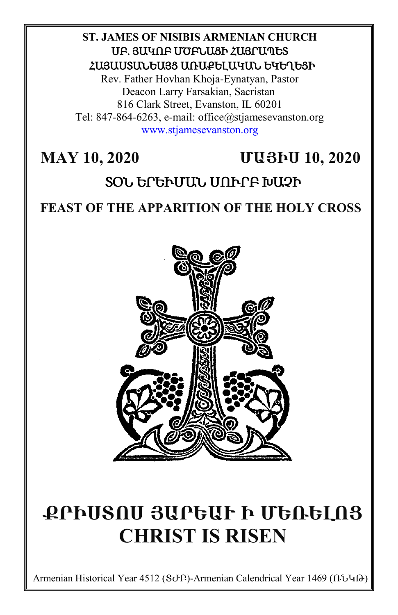#### **ST. JAMES OF NISIBIS ARMENIAN CHURCH** ՍԲ. ՅԱԿՈԲ ՄԾԲՆԱՑԻ ՀԱՅՐԱՊԵՏ ՀԱՅԱՍՏԱՆԵԱՅՑ ԱՌԱՔԵԼԱԿԱՆ ԵԿԵՂԵՑԻ

Rev. Father Hovhan Khoja-Eynatyan, Pastor Deacon Larry Farsakian, Sacristan 816 Clark Street, Evanston, IL 60201 Tel: 847-864-6263, e-mail: office@stjamesevanston.org [www.stjamesevanston.org](http://www.stjamesevanston.org/)

# **MAY 10, 2020 ՄԱՅԻՍ 10, 2020**

# ՏՕՆ ԵՐԵՒՄԱՆ ՍՈՒՐԲ ԽԱՉԻ

## **FEAST OF THE APPARITION OF THE HOLY CROSS**



# **ՔՐԻՍՏՈՍ ՅԱՐԵԱՒ Ի ՄԵՌԵԼՈՑ CHRIST IS RISEN**

Armenian Historical Year 4512 (ՏԺԲ)-Armenian Calendrical Year 1469 (ՌՆԿԹ)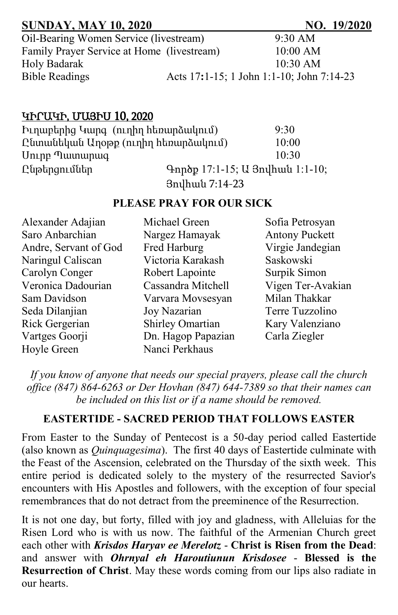| <b>SUNDAY, MAY 10, 2020</b>                | NO. 19/2020                               |
|--------------------------------------------|-------------------------------------------|
| Oil-Bearing Women Service (livestream)     | $9:30 \text{ AM}$                         |
| Family Prayer Service at Home (livestream) | $10:00$ AM                                |
| Holy Badarak                               | $10:30$ AM                                |
| <b>Bible Readings</b>                      | Acts 17:1-15; 1 John 1:1-10; John 7:14-23 |

#### ԿԻՐԱԿԻ, ՄԱՅԻՍ 10, 2020

| Իւղաբերից Կարգ (ուղիղ հեռարձակում)  |                                 | 9:30  |
|-------------------------------------|---------------------------------|-------|
| Ընտանեկան Աղօթք (ուղիղ հեռարձակում) |                                 | 10:00 |
| Uning Tuununung                     |                                 | 10:30 |
| Ընթերցումներ                        | Գործք 17:1-15; Ա Յովհան 1:1-10; |       |
|                                     | 3nyhwu 7:14-23                  |       |

#### **PLEASE PRAY FOR OUR SICK**

| Alexander Adajian     | Michael Green           | Sofia Petrosyan       |
|-----------------------|-------------------------|-----------------------|
| Saro Anbarchian       | Nargez Hamayak          | <b>Antony Puckett</b> |
| Andre, Servant of God | Fred Harburg            | Virgie Jandegian      |
| Naringul Caliscan     | Victoria Karakash       | Saskowski             |
| Carolyn Conger        | Robert Lapointe         | Surpik Simon          |
| Veronica Dadourian    | Cassandra Mitchell      | Vigen Ter-Avakian     |
| Sam Davidson          | Varvara Movsesyan       | Milan Thakkar         |
| Seda Dilanjian        | Joy Nazarian            | Terre Tuzzolino       |
| Rick Gergerian        | <b>Shirley Omartian</b> | Kary Valenziano       |
| Vartges Goorji        | Dn. Hagop Papazian      | Carla Ziegler         |
| Hoyle Green           | Nanci Perkhaus          |                       |

*If you know of anyone that needs our special prayers, please call the church office (847) 864-6263 or Der Hovhan (847) 644-7389 so that their names can be included on this list or if a name should be removed.*

#### **EASTERTIDE - SACRED PERIOD THAT FOLLOWS EASTER**

From Easter to the Sunday of Pentecost is a 50-day period called Eastertide (also known as *Quinquagesima*). The first 40 days of Eastertide culminate with the Feast of the Ascension, celebrated on the Thursday of the sixth week. This entire period is dedicated solely to the mystery of the resurrected Savior's encounters with His Apostles and followers, with the exception of four special remembrances that do not detract from the preeminence of the Resurrection.

It is not one day, but forty, filled with joy and gladness, with Alleluias for the Risen Lord who is with us now. The faithful of the Armenian Church greet each other with *Krisdos Haryav ee Merelotz* - **Christ is Risen from the Dead**: and answer with *Ohrnyal eh Haroutiunun Krisdosee* - **Blessed is the Resurrection of Christ**. May these words coming from our lips also radiate in our hearts.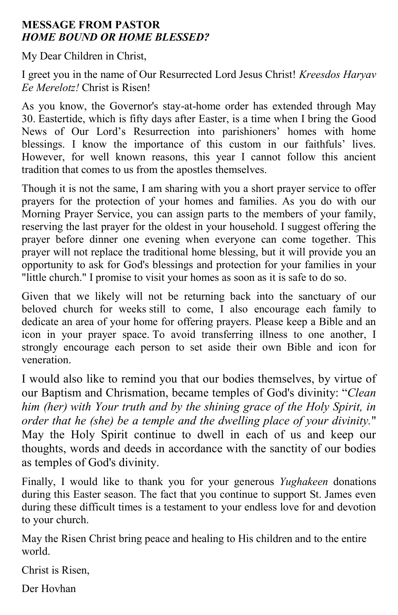#### **MESSAGE FROM PASTOR** *HOME BOUND OR HOME BLESSED?*

My Dear Children in Christ,

I greet you in the name of Our Resurrected Lord Jesus Christ! *Kreesdos Haryav Ee Merelotz!* Christ is Risen!

As you know, the Governor's stay-at-home order has extended through May 30. Eastertide, which is fifty days after Easter, is a time when I bring the Good News of Our Lord's Resurrection into parishioners' homes with home blessings. I know the importance of this custom in our faithfuls' lives. However, for well known reasons, this year I cannot follow this ancient tradition that comes to us from the apostles themselves.

Though it is not the same, I am sharing with you a short prayer service to offer prayers for the protection of your homes and families. As you do with our Morning Prayer Service, you can assign parts to the members of your family, reserving the last prayer for the oldest in your household. I suggest offering the prayer before dinner one evening when everyone can come together. This prayer will not replace the traditional home blessing, but it will provide you an opportunity to ask for God's blessings and protection for your families in your "little church." I promise to visit your homes as soon as it is safe to do so.

Given that we likely will not be returning back into the sanctuary of our beloved church for weeks still to come, I also encourage each family to dedicate an area of your home for offering prayers. Please keep a Bible and an icon in your prayer space. To avoid transferring illness to one another, I strongly encourage each person to set aside their own Bible and icon for veneration.

I would also like to remind you that our bodies themselves, by virtue of our Baptism and Chrismation, became temples of God's divinity: "*Clean him (her) with Your truth and by the shining grace of the Holy Spirit, in order that he (she) be a temple and the dwelling place of your divinity.*" May the Holy Spirit continue to dwell in each of us and keep our thoughts, words and deeds in accordance with the sanctity of our bodies as temples of God's divinity.

Finally, I would like to thank you for your generous *Yughakeen* donations during this Easter season. The fact that you continue to support St. James even during these difficult times is a testament to your endless love for and devotion to your church.

May the Risen Christ bring peace and healing to His children and to the entire world.

Christ is Risen,

Der Hovhan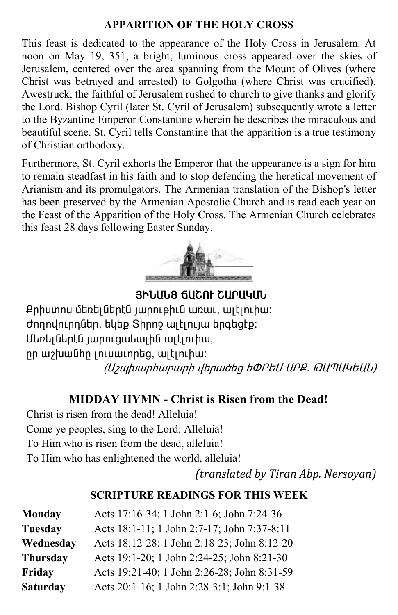#### **APPARITION OF THE HOLY CROSS**

This feast is dedicated to the appearance of the Holy Cross in Jerusalem. At noon on May 19, 351, a bright, luminous cross appeared over the skies of Jerusalem, centered over the area spanning from the Mount of Olives (where Christ was betrayed and arrested) to Golgotha (where Christ was crucified). Awestruck, the faithful of Jerusalem rushed to church to give thanks and glorify the Lord. Bishop Cyril (later St. Cyril of Jerusalem) subsequently wrote a letter to the Byzantine Emperor Constantine wherein he describes the miraculous and beautiful scene. St. Cyril tells Constantine that the apparition is a true testimony of Christian orthodoxy.

Furthermore, St. Cyril exhorts the Emperor that the appearance is a sign for him to remain steadfast in his faith and to stop defending the heretical movement of Arianism and its promulgators. The Armenian translation of the Bishop's letter has been preserved by the Armenian Apostolic Church and is read each year on the Feast of the Apparition of the Holy Cross. The Armenian Church celebrates this feast 28 days following Easter Sunday.



AHJUJA <del>G</del>UCAF CUPUYUU

Քրիստոս մեռելներէն յարութիւն առաւ, ալէլուիա: dnnnyn.nnutin, bytp Shnno witinijw tnototp: Մեռեյներէն յարուցաեային այէլուիա, nn w / hwu ahn unu unu hang, witin hu: (Աշպխարիաբարի վերածեց եՓՐԵՄ ԱՐՔ. ԹԱՊԱԿԵԱՆ)

#### **MIDDAY HYMN - Christ is Risen from the Dead!**

Christ is risen from the dead! Alleluia! Come ye peoples, sing to the Lord: Alleluia! To Him who is risen from the dead, alleluia! To Him who has enlightened the world, alleluia!

*(translated by Tiran Abp. Nersoyan)*

#### **SCRIPTURE READINGS FOR THIS WEEK**

| <b>Monday</b>   | Acts 17:16-34; 1 John 2:1-6; John 7:24-36   |
|-----------------|---------------------------------------------|
| <b>Tuesday</b>  | Acts 18:1-11; 1 John 2:7-17; John 7:37-8:11 |
| Wednesday       | Acts 18:12-28; 1 John 2:18-23; John 8:12-20 |
| <b>Thursday</b> | Acts 19:1-20; 1 John 2:24-25; John 8:21-30  |
| Friday          | Acts 19:21-40; 1 John 2:26-28; John 8:31-59 |
| <b>Saturday</b> | Acts 20:1-16; 1 John 2:28-3:1; John 9:1-38  |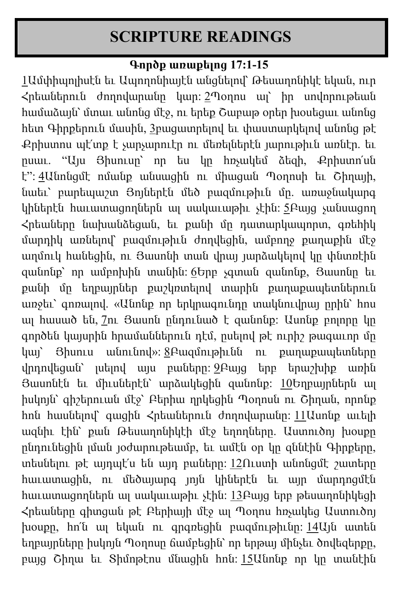# **SCRIPTURE READINGS**

#### **Գործք առաքելոց 17:1-15**

[1](http://biblehub.com/acts/17-1.htm)Ամփիպոլիսէն եւ Ապողոնիայէն անցնելով՝ Թեսաղոնիկէ եկան, ուր Հրեաներուն ժողովարանը կար: [2](http://biblehub.com/acts/17-2.htm)Պօղոս ալ՝ իր սովորութեան համաձայն՝ մտաւ անոնց մէջ, ու երեք Շաբաթ օրեր խօսեցաւ անոնց հետ Գիրքերուն մասին, [3](http://biblehub.com/acts/17-3.htm)բացատրելով եւ փաստարկելով անոնց թէ Քրիստոս պէ՛տք է չարչարուէր ու մեռելներէն յարութիւն առնէր. եւ ըսաւ. "Այս Յիսուսը՝ որ ես կը հռչակեմ ձեզի, Քրիստո՛սն է": [4](http://biblehub.com/acts/17-4.htm)Անոնցմէ ոմանք անսացին ու միացան Պօղոսի եւ Շիղայի, նաեւ՝ բարեպաշտ Յոյներէն մեծ բազմութիւն մը. առաջնակարգ կիներէն հաւատացողներն ալ սակաւաթիւ չէին: [5](http://biblehub.com/acts/17-5.htm)Բայց չանսացող Հրեաները նախանձեցան, եւ քանի մը դատարկապորտ, գռեհիկ մարդիկ առնելով՝ բազմութիւն ժողվեցին, ամբողջ քաղաքին մէջ աղմուկ հանեցին, ու Յասոնի տան վրայ յարձակելով կը փնտռէին զանոնք՝ որ ամբոխին տանին: [6](http://biblehub.com/acts/17-6.htm)Երբ չգտան զանոնք, Յասոնը եւ քանի մը եղբայրներ քաշկռտելով տարին քաղաքապետներուն առջեւ՝ գոռալով. «Անոնք որ երկրագունդը տակնուվրայ ըրին՝ հոս ալ հասած են, [7](http://biblehub.com/acts/17-7.htm)ու Յասոն ընդունած է զանոնք: Ասոնք բոլորը կը գործեն կայսրին հրամաններուն դէմ, ըսելով թէ ուրիշ թագաւոր մը կայ՝ Յիսուս անունով»: [8](http://biblehub.com/acts/17-8.htm)Բազմութիւնն ու քաղաքապետները վրդովեցան՝ լսելով այս բաները: [9](http://biblehub.com/acts/17-9.htm)Բայց երբ երաշխիք առին Յասոնէն եւ միւսներէն՝ արձակեցին զանոնք: [10](http://biblehub.com/acts/17-10.htm)Եղբայրներն ալ իսկոյն՝ գիշերուան մէջ՝ Բերիա ղրկեցին Պօղոսն ու Շիղան, որոնք հոն հասնելով՝ գացին Հրեաներուն ժողովարանը: [11](http://biblehub.com/acts/17-11.htm)Ասոնք աւելի ազնիւ էին՝ քան Թեսաղոնիկէի մէջ եղողները. Աստուծոյ խօսքը ընդունեցին լման յօժարութեամբ, եւ ամէն օր կը զննէին Գիրքերը, տեսնելու թէ այդպէ՛ս են այդ բաները: [12](http://biblehub.com/acts/17-12.htm)Ուստի անոնցմէ շատերը հաւատացին, ու մեծայարգ յոյն կիներէն եւ այր մարդոցմէն հաւատացողներն ալ սակաւաթիւ չէին: [13](http://biblehub.com/acts/17-13.htm)Բայց երբ թեսաղոնիկեցի Հրեաները գիտցան թէ Բերիայի մէջ ալ Պօղոս հռչակեց Աստուծոյ խօսքը, հո՛ն ալ եկան ու գրգռեցին բազմութիւնը: [14](http://biblehub.com/acts/17-14.htm)Այն ատեն եղբայրները իսկոյն Պօղոսը ճամբեցին՝ որ երթայ մինչեւ ծովեզերքը, բայց Շիղա եւ Տիմոթէոս մնացին հոն: [15](http://biblehub.com/acts/17-15.htm)Անոնք որ կը տանէին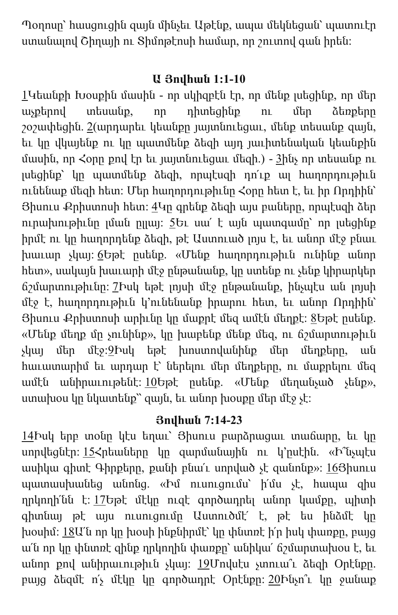Պօղոսը՝ հասցուցին զայն մինչեւ Աթէնք, ապա մեկնեցան՝ պատուէր ստանալով Շիղայի ու Տիմոթէոսի համար, որ շուտով գան իրեն:

#### **Ա Յովհան 1:1-10**

[1](http://biblehub.com/1_john/1-1.htm)Կեանքի Խօսքին մասին - որ սկիզբէն էր, որ մենք լսեցինք, որ մեր աչքերով տեսանք, որ դիտեցինք ու մեր ձեռքերը շօշափեցին. [2](http://biblehub.com/1_john/1-2.htm)(արդարեւ կեանքը յայտնուեցաւ, մենք տեսանք զայն, եւ կը վկայենք ու կը պատմենք ձեզի այդ յաւիտենական կեանքին մասին, որ  $\zeta$ օրը քով էր եւ յայտնուեցաւ մեզի.) - [3](http://biblehub.com/1_john/1-3.htm)ինչ որ տեսանք ու լսեցինք՝ կը պատմենք ձեզի, որպէսզի դո՛ւք ալ հաղորդութիւն ունենաք մեզի հետ: Մեր հաղորդութիւնը Հօրը հետ է, եւ իր Որդիին՝  $\theta$ իսուս Քրիստոսի հետ:  $4$ Կր գրենք ձեզի այս բաները, որպէսզի ձեր ուրախութիւնը լման ըլլայ: [5](http://biblehub.com/1_john/1-5.htm)Եւ սա՛ է այն պատգամը՝ որ լսեցինք իրմէ ու կը հաղորդենք ձեզի, թէ Աստուած լոյս է, եւ անոր մէջ բնաւ խաւար չկայ: [6](http://biblehub.com/1_john/1-6.htm)Եթէ ըսենք. «Մենք հաղորդութիւն ունինք անոր հետ», սակայն խաւարի մէջ ընթանանք, կը ստենք ու չենք կիրարկեր ճշմարտութիւնը: [7](http://biblehub.com/1_john/1-7.htm)Իսկ եթէ լոյսի մէջ ընթանանք, ինչպէս ան լոյսի մէջ է, հաղորդութիւն կ՚ունենանք իրարու հետ, եւ անոր Որդիին՝ Յիսուս Քրիստոսի արիւնը կը մաքրէ մեզ ամէն մեղքէ: [8](http://biblehub.com/1_john/1-8.htm)Եթէ ըսենք. «Մենք մեղք մը չունինք», կը խաբենք մենք մեզ, ու ճշմարտութիւն չկայ մեր մէջ:[9](http://biblehub.com/1_john/1-9.htm)Իսկ եթէ խոստովանինք մեր մեղքերը, ան հաւատարիմ եւ արդար է՝ ներելու մեր մեղքերը, ու մաքրելու մեզ ամէն անիրաւութենէ: [10](http://biblehub.com/1_john/1-10.htm)Եթէ ըսենք. «Մենք մեղանչած չենք», ստախօս կը նկատենք՝՝ զայն, եւ անոր խօսքը մեր մէջ չէ:

### **Յովհան 7:14-23**

[14](http://biblehub.com/john/7-14.htm)Իսկ երբ տօնը կէս եղաւ՝ Յիսուս բարձրացաւ տաճարը, եւ կը սորվեցնէր: [15](http://biblehub.com/john/7-15.htm)Հրեաները կը զարմանային ու կ՚ըսէին. «Ի՞նչպէս ասիկա գիտէ Գիրքերը, քանի բնա՛ւ սորված չէ զանոնք»: [16](http://biblehub.com/john/7-16.htm)Յիսուս պատասխանեց անոնց. «Իմ ուսուցումս՝ ի՛մս չէ, հապա զիս ղրկողի՛նն է: [17](http://biblehub.com/john/7-17.htm)Եթէ մէկը ուզէ գործադրել անոր կամքը, պիտի գիտնայ թէ այս ուսուցումը Աստուծմէ՛ է, թէ ես ինձմէ կը խօսիմ:  $18$ Ա՛ն որ կը խօսի ինքնիրմէ՝ կը փնտռէ ի՛ր իսկ փառքը, բայց ա՛ն որ կը փնտռէ զինք ղրկողին փառքը՝ անիկա՛ ճշմարտախօս է, եւ անոր քով անիրաւութիւն չկայ: [19](http://biblehub.com/john/7-19.htm)Մովսէս չտուա՞ւ ձեզի Օրէնքը. բայց ձեզմէ ո՛չ մէկը կը գործադրէ Օրէնքը: [20](http://biblehub.com/john/7-20.htm)Ինչո՞ւ կը ջանաք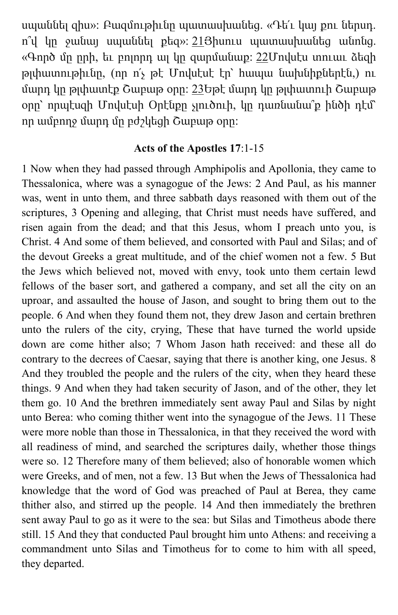սպաննել զիս»: Բազմութիւնը պատասխանեց. «Դե՛ւ կայ քու ներսդ. ո՞վ կը ջանայ սպաննել քեզ»: [21](http://biblehub.com/john/7-21.htm)Յիսուս պատասխանեց անոնց. «Գործ մը ըրի, եւ բոլորդ ալ կը զարմանաք:  $22$ Մովսէս տուաւ ձեզի թլփատութիւնը, (որ ո՛չ թէ Մովսէսէ էր՝ հապա նախնիքներէն,) ու մարդ կը թլփատէք Շաբաթ օրը: [23](http://biblehub.com/john/7-23.htm)Եթէ մարդ կը թլփատուի Շաբաթ օրը՝ որպէսզի Մովսէսի Օրէնքը չլուծուի, կը դառնանա՞ք ինծի դէմ՝ որ ամբողջ մարդ մը բժշկեցի Շաբաթ օրը:

#### **Acts of the Apostles 17**:1-15

1 Now when they had passed through Amphipolis and Apollonia, they came to Thessalonica, where was a synagogue of the Jews: 2 And Paul, as his manner was, went in unto them, and three sabbath days reasoned with them out of the scriptures, 3 Opening and alleging, that Christ must needs have suffered, and risen again from the dead; and that this Jesus, whom I preach unto you, is Christ. 4 And some of them believed, and consorted with Paul and Silas; and of the devout Greeks a great multitude, and of the chief women not a few. 5 But the Jews which believed not, moved with envy, took unto them certain lewd fellows of the baser sort, and gathered a company, and set all the city on an uproar, and assaulted the house of Jason, and sought to bring them out to the people. 6 And when they found them not, they drew Jason and certain brethren unto the rulers of the city, crying, These that have turned the world upside down are come hither also; 7 Whom Jason hath received: and these all do contrary to the decrees of Caesar, saying that there is another king, one Jesus. 8 And they troubled the people and the rulers of the city, when they heard these things. 9 And when they had taken security of Jason, and of the other, they let them go. 10 And the brethren immediately sent away Paul and Silas by night unto Berea: who coming thither went into the synagogue of the Jews. 11 These were more noble than those in Thessalonica, in that they received the word with all readiness of mind, and searched the scriptures daily, whether those things were so. 12 Therefore many of them believed; also of honorable women which were Greeks, and of men, not a few. 13 But when the Jews of Thessalonica had knowledge that the word of God was preached of Paul at Berea, they came thither also, and stirred up the people. 14 And then immediately the brethren sent away Paul to go as it were to the sea: but Silas and Timotheus abode there still. 15 And they that conducted Paul brought him unto Athens: and receiving a commandment unto Silas and Timotheus for to come to him with all speed, they departed.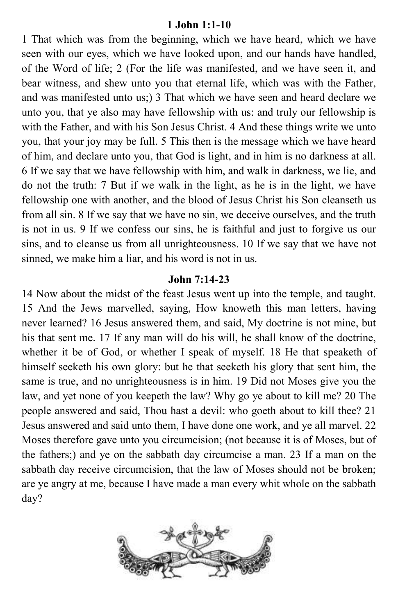#### **1 John 1:1-10**

1 That which was from the beginning, which we have heard, which we have seen with our eyes, which we have looked upon, and our hands have handled, of the Word of life; 2 (For the life was manifested, and we have seen it, and bear witness, and shew unto you that eternal life, which was with the Father, and was manifested unto us;) 3 That which we have seen and heard declare we unto you, that ye also may have fellowship with us: and truly our fellowship is with the Father, and with his Son Jesus Christ. 4 And these things write we unto you, that your joy may be full. 5 This then is the message which we have heard of him, and declare unto you, that God is light, and in him is no darkness at all. 6 If we say that we have fellowship with him, and walk in darkness, we lie, and do not the truth: 7 But if we walk in the light, as he is in the light, we have fellowship one with another, and the blood of Jesus Christ his Son cleanseth us from all sin. 8 If we say that we have no sin, we deceive ourselves, and the truth is not in us. 9 If we confess our sins, he is faithful and just to forgive us our sins, and to cleanse us from all unrighteousness. 10 If we say that we have not sinned, we make him a liar, and his word is not in us.

#### **John 7:14-23**

14 Now about the midst of the feast Jesus went up into the temple, and taught. 15 And the Jews marvelled, saying, How knoweth this man letters, having never learned? 16 Jesus answered them, and said, My doctrine is not mine, but his that sent me. 17 If any man will do his will, he shall know of the doctrine, whether it be of God, or whether I speak of myself. 18 He that speaketh of himself seeketh his own glory: but he that seeketh his glory that sent him, the same is true, and no unrighteousness is in him. 19 Did not Moses give you the law, and yet none of you keepeth the law? Why go ye about to kill me? 20 The people answered and said, Thou hast a devil: who goeth about to kill thee? 21 Jesus answered and said unto them, I have done one work, and ye all marvel. 22 Moses therefore gave unto you circumcision; (not because it is of Moses, but of the fathers;) and ye on the sabbath day circumcise a man. 23 If a man on the sabbath day receive circumcision, that the law of Moses should not be broken; are ye angry at me, because I have made a man every whit whole on the sabbath day?

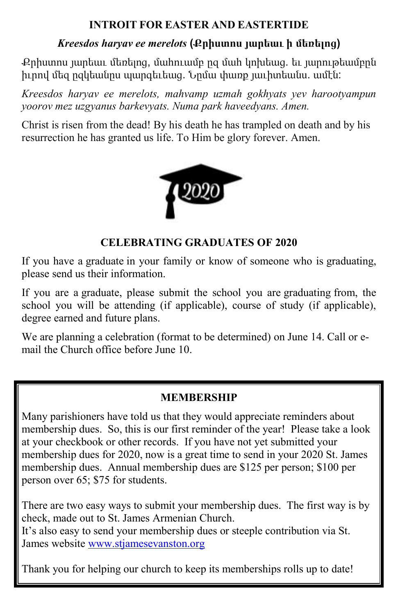#### **INTROIT FOR EASTER AND EASTERTIDE**

#### *Kreesdos haryav ee merelots* **(Քրիստոս յարեաւ ի մեռելոց)**

Քրիստոս յարեաւ մեռելոց, մահուամբ ըզ մահ կոխեաց. եւ յարութեամբըն իւրով մեզ ըզկեանըս պարգեւեաց. Նըմա փառք յաւիտեանս. ամէն:

*Kreesdos haryav ee merelots, mahvamp uzmah gokhyats yev harootyampun yoorov mez uzgyanus barkevyats. Numa park haveedyans. Amen.*

Christ is risen from the dead! By his death he has trampled on death and by his resurrection he has granted us life. To Him be glory forever. Amen.



#### **CELEBRATING GRADUATES OF 2020**

If you have a graduate in your family or know of someone who is graduating, please send us their information.

If you are a graduate, please submit the school you are graduating from, the school you will be attending (if applicable), course of study (if applicable), degree earned and future plans.

We are planning a celebration (format to be determined) on June 14. Call or email the Church office before June 10.

#### **MEMBERSHIP**

Many parishioners have told us that they would appreciate reminders about membership dues. So, this is our first reminder of the year! Please take a look at your checkbook or other records. If you have not yet submitted your membership dues for 2020, now is a great time to send in your 2020 St. James membership dues. Annual membership dues are \$125 per person; \$100 per person over 65; \$75 for students.

There are two easy ways to submit your membership dues. The first way is by check, made out to St. James Armenian Church. It's also easy to send your membership dues or steeple contribution via St.

James website [www.stjamesevanston.org](http://www.stjamesevanston.org/)

Thank you for helping our church to keep its memberships rolls up to date!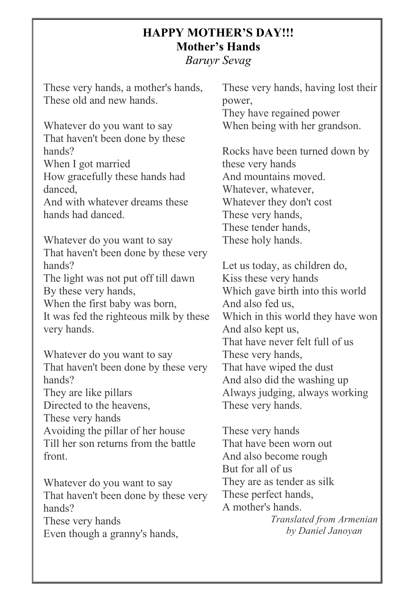#### **HAPPY MOTHER'S DAY!!! Mother's Hands**

*Baruyr Sevag*

These very hands, a mother's hands, These old and new hands.

Whatever do you want to say That haven't been done by these hands?

When I got married How gracefully these hands had danced,

And with whatever dreams these hands had danced.

Whatever do you want to say That haven't been done by these very hands?

The light was not put off till dawn By these very hands,

When the first baby was born, It was fed the righteous milk by these very hands.

Whatever do you want to say That haven't been done by these very hands? They are like pillars Directed to the heavens, These very hands Avoiding the pillar of her house

Till her son returns from the battle front.

Whatever do you want to say That haven't been done by these very hands? These very hands Even though a granny's hands,

These very hands, having lost their power, They have regained power When being with her grandson.

Rocks have been turned down by these very hands And mountains moved. Whatever, whatever, Whatever they don't cost These very hands, These tender hands, These holy hands.

Let us today, as children do, Kiss these very hands Which gave birth into this world And also fed us, Which in this world they have won And also kept us, That have never felt full of us These very hands, That have wiped the dust And also did the washing up Always judging, always working These very hands.

These very hands That have been worn out And also become rough But for all of us They are as tender as silk These perfect hands, A mother's hands.

*Translated from Armenian by Daniel Janoyan*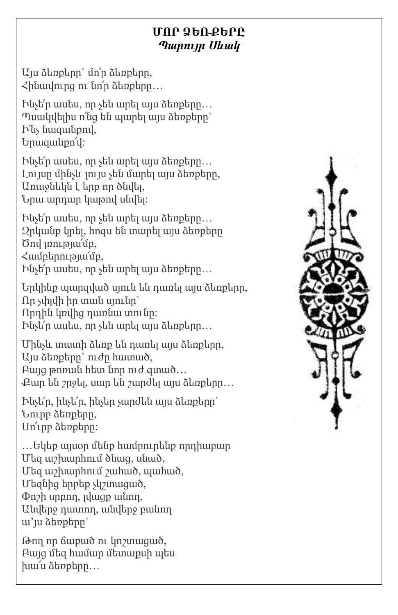#### **ՄՈՐ ՁԵՌՔԵՐԸ** *Պարույր Սևակ*

Այս ձեռքերը` մո՜ր ձեռքերը,  $\triangleleft$ ինավուրց ու նո՛ր ձեռքերը...

Ինչե՜ր ասես, որ չեն արել այս ձեռքերը… Պսակվելիս ո՜նց են պարել այս ձեռքերը` Ի՜նչ նազանքով, Երազանքո՜վ:

Ինչե՜ր ասես, որ չեն արել այս ձեռքերը… Լույսը մինչև լույս չեն մարել այս ձեռքերը, Առաջնեկն է երբ որ ծնվել, Նրա արդար կաթով սնվել:

Ինչե՜ր ասես, որ չեն արել այս ձեռքերը… Զրկանք կրել, հոգս են տարել այս ձեռքերը Ծով լռությա՜մբ, Համբերությա՜մբ,

Ինչե՜ր ասես, որ չեն արել այս ձեռքերը…

Երկինք պարզված սյուն են դառել այս ձեռքերը, Որ չփլվի իր տան սյունը` Որդին կռվից դառնա տունը: Ինչե՜ր ասես, որ չեն արել այս ձեռքերը…

Մինչև տատի ձեռք են դառել այս ձեռքերը, Այս ձեռքերը` ուժը հատած, Բայց թոռան հետ նոր ուժ գտած… Քար են շրջել, սար են շարժել այս ձեռքերը…

Ինչե՜ր, ինչե՜ր, ինչեր չարժեն այս ձեռքերը` Նուրբ ձեռքերը, Սո՜ւրբ ձեռքերը:

…Եկեք այսօր մենք համբուրենք որդիաբար Մեզ աշխարհում ծնաց, սնած, Մեզ աշխարհում շահած, պահած, Մեզնից երբեք չկշտացած, Փոշի սրբող, լվացք անող, Անվերջ դատող, անվերջ բանող ա'յս ձեռքերը`

Թող որ ճաքած ու կոշտացած, Բայց մեզ համար մետաքսի պես խա՜ս ձեռքերը…